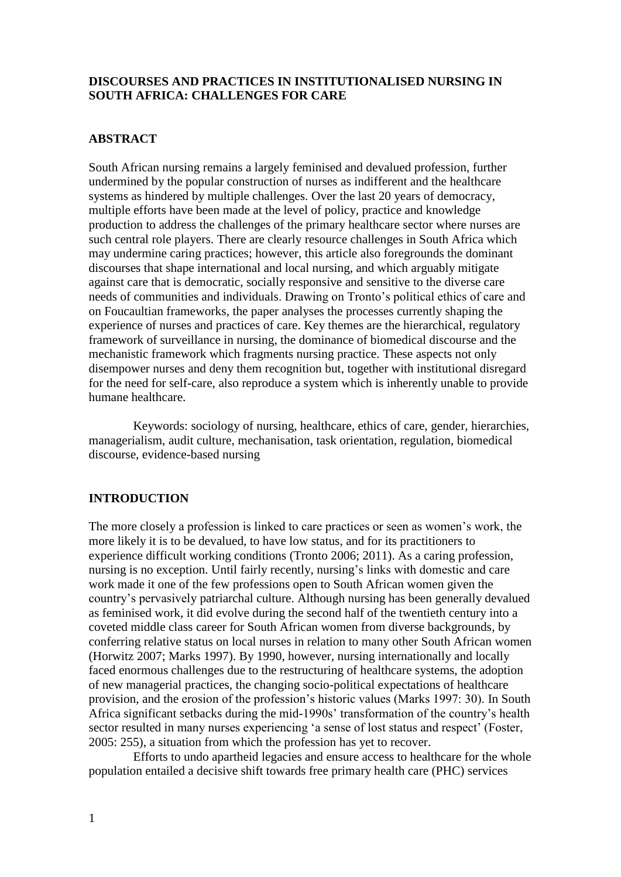# **DISCOURSES AND PRACTICES IN INSTITUTIONALISED NURSING IN SOUTH AFRICA: CHALLENGES FOR CARE**

### **ABSTRACT**

South African nursing remains a largely feminised and devalued profession, further undermined by the popular construction of nurses as indifferent and the healthcare systems as hindered by multiple challenges. Over the last 20 years of democracy, multiple efforts have been made at the level of policy, practice and knowledge production to address the challenges of the primary healthcare sector where nurses are such central role players. There are clearly resource challenges in South Africa which may undermine caring practices; however, this article also foregrounds the dominant discourses that shape international and local nursing, and which arguably mitigate against care that is democratic, socially responsive and sensitive to the diverse care needs of communities and individuals. Drawing on Tronto's political ethics of care and on Foucaultian frameworks, the paper analyses the processes currently shaping the experience of nurses and practices of care. Key themes are the hierarchical, regulatory framework of surveillance in nursing, the dominance of biomedical discourse and the mechanistic framework which fragments nursing practice. These aspects not only disempower nurses and deny them recognition but, together with institutional disregard for the need for self-care, also reproduce a system which is inherently unable to provide humane healthcare.

Keywords: sociology of nursing, healthcare, ethics of care, gender, hierarchies, managerialism, audit culture, mechanisation, task orientation, regulation, biomedical discourse, evidence-based nursing

# **INTRODUCTION**

The more closely a profession is linked to care practices or seen as women's work, the more likely it is to be devalued, to have low status, and for its practitioners to experience difficult working conditions (Tronto 2006; 2011). As a caring profession, nursing is no exception. Until fairly recently, nursing's links with domestic and care work made it one of the few professions open to South African women given the country's pervasively patriarchal culture. Although nursing has been generally devalued as feminised work, it did evolve during the second half of the twentieth century into a coveted middle class career for South African women from diverse backgrounds, by conferring relative status on local nurses in relation to many other South African women (Horwitz 2007; Marks 1997). By 1990, however, nursing internationally and locally faced enormous challenges due to the restructuring of healthcare systems, the adoption of new managerial practices, the changing socio-political expectations of healthcare provision, and the erosion of the profession's historic values (Marks 1997: 30). In South Africa significant setbacks during the mid-1990s' transformation of the country's health sector resulted in many nurses experiencing 'a sense of lost status and respect' (Foster, 2005: 255), a situation from which the profession has yet to recover.

Efforts to undo apartheid legacies and ensure access to healthcare for the whole population entailed a decisive shift towards free primary health care (PHC) services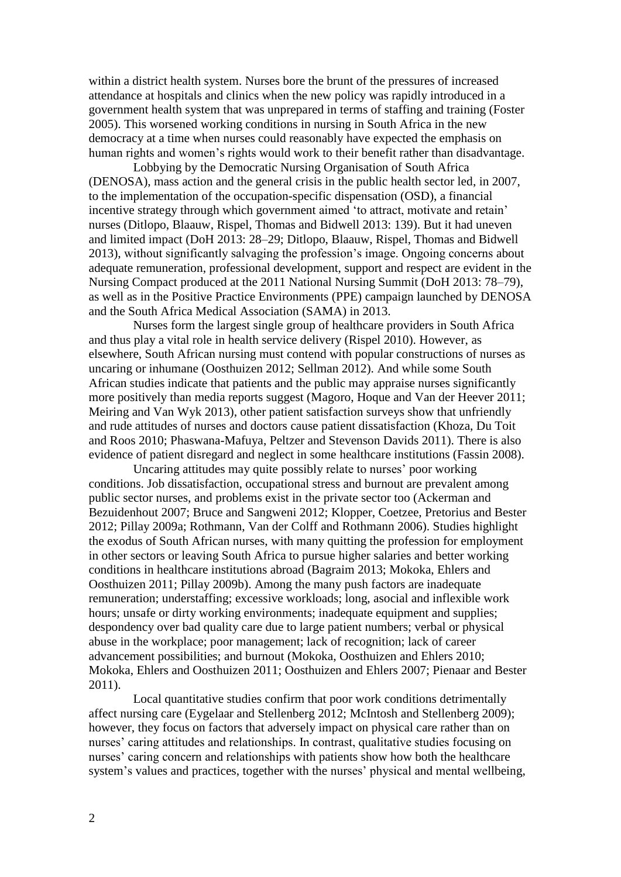within a district health system. Nurses bore the brunt of the pressures of increased attendance at hospitals and clinics when the new policy was rapidly introduced in a government health system that was unprepared in terms of staffing and training (Foster 2005). This worsened working conditions in nursing in South Africa in the new democracy at a time when nurses could reasonably have expected the emphasis on human rights and women's rights would work to their benefit rather than disadvantage.

Lobbying by the Democratic Nursing Organisation of South Africa (DENOSA), mass action and the general crisis in the public health sector led, in 2007, to the implementation of the occupation-specific dispensation (OSD), a financial incentive strategy through which government aimed 'to attract, motivate and retain' nurses (Ditlopo, Blaauw, Rispel, Thomas and Bidwell 2013: 139). But it had uneven and limited impact (DoH 2013: 28–29; Ditlopo, Blaauw, Rispel, Thomas and Bidwell 2013), without significantly salvaging the profession's image. Ongoing concerns about adequate remuneration, professional development, support and respect are evident in the Nursing Compact produced at the 2011 National Nursing Summit (DoH 2013: 78–79), as well as in the Positive Practice Environments (PPE) campaign launched by DENOSA and the South Africa Medical Association (SAMA) in 2013.

Nurses form the largest single group of healthcare providers in South Africa and thus play a vital role in health service delivery (Rispel 2010). However, as elsewhere, South African nursing must contend with popular constructions of nurses as uncaring or inhumane (Oosthuizen 2012; Sellman 2012). And while some South African studies indicate that patients and the public may appraise nurses significantly more positively than media reports suggest (Magoro, Hoque and Van der Heever 2011; Meiring and Van Wyk 2013), other patient satisfaction surveys show that unfriendly and rude attitudes of nurses and doctors cause patient dissatisfaction (Khoza, Du Toit and Roos 2010; Phaswana-Mafuya, Peltzer and Stevenson Davids 2011). There is also evidence of patient disregard and neglect in some healthcare institutions (Fassin 2008).

Uncaring attitudes may quite possibly relate to nurses' poor working conditions. Job dissatisfaction, occupational stress and burnout are prevalent among public sector nurses, and problems exist in the private sector too (Ackerman and Bezuidenhout 2007; Bruce and Sangweni 2012; Klopper, Coetzee, Pretorius and Bester 2012; Pillay 2009a; Rothmann, Van der Colff and Rothmann 2006). Studies highlight the exodus of South African nurses, with many quitting the profession for employment in other sectors or leaving South Africa to pursue higher salaries and better working conditions in healthcare institutions abroad (Bagraim 2013; Mokoka, Ehlers and Oosthuizen 2011; Pillay 2009b). Among the many push factors are inadequate remuneration; understaffing; excessive workloads; long, asocial and inflexible work hours; unsafe or dirty working environments; inadequate equipment and supplies; despondency over bad quality care due to large patient numbers; verbal or physical abuse in the workplace; poor management; lack of recognition; lack of career advancement possibilities; and burnout (Mokoka, Oosthuizen and Ehlers 2010; Mokoka, Ehlers and Oosthuizen 2011; Oosthuizen and Ehlers 2007; Pienaar and Bester 2011).

Local quantitative studies confirm that poor work conditions detrimentally affect nursing care (Eygelaar and Stellenberg 2012; McIntosh and Stellenberg 2009); however, they focus on factors that adversely impact on physical care rather than on nurses' caring attitudes and relationships. In contrast, qualitative studies focusing on nurses' caring concern and relationships with patients show how both the healthcare system's values and practices, together with the nurses' physical and mental wellbeing,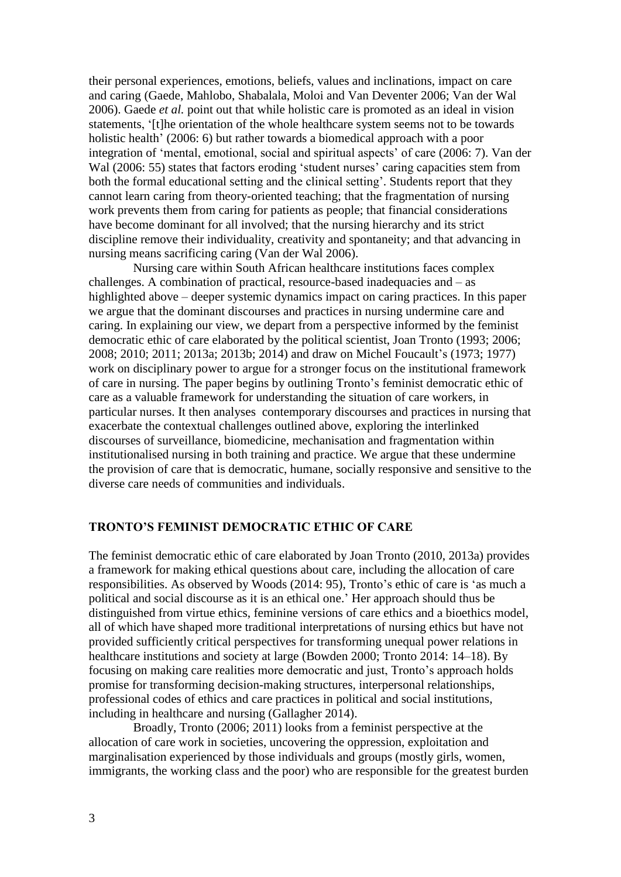their personal experiences, emotions, beliefs, values and inclinations, impact on care and caring (Gaede, Mahlobo, Shabalala, Moloi and Van Deventer 2006; Van der Wal 2006). Gaede *et al.* point out that while holistic care is promoted as an ideal in vision statements, '[t]he orientation of the whole healthcare system seems not to be towards holistic health' (2006: 6) but rather towards a biomedical approach with a poor integration of 'mental, emotional, social and spiritual aspects' of care (2006: 7). Van der Wal (2006: 55) states that factors eroding 'student nurses' caring capacities stem from both the formal educational setting and the clinical setting'. Students report that they cannot learn caring from theory-oriented teaching; that the fragmentation of nursing work prevents them from caring for patients as people; that financial considerations have become dominant for all involved; that the nursing hierarchy and its strict discipline remove their individuality, creativity and spontaneity; and that advancing in nursing means sacrificing caring (Van der Wal 2006).

Nursing care within South African healthcare institutions faces complex challenges. A combination of practical, resource-based inadequacies and – as highlighted above – deeper systemic dynamics impact on caring practices. In this paper we argue that the dominant discourses and practices in nursing undermine care and caring. In explaining our view, we depart from a perspective informed by the feminist democratic ethic of care elaborated by the political scientist, Joan Tronto (1993; 2006; 2008; 2010; 2011; 2013a; 2013b; 2014) and draw on Michel Foucault's (1973; 1977) work on disciplinary power to argue for a stronger focus on the institutional framework of care in nursing. The paper begins by outlining Tronto's feminist democratic ethic of care as a valuable framework for understanding the situation of care workers, in particular nurses. It then analyses contemporary discourses and practices in nursing that exacerbate the contextual challenges outlined above, exploring the interlinked discourses of surveillance, biomedicine, mechanisation and fragmentation within institutionalised nursing in both training and practice. We argue that these undermine the provision of care that is democratic, humane, socially responsive and sensitive to the diverse care needs of communities and individuals.

### **TRONTO'S FEMINIST DEMOCRATIC ETHIC OF CARE**

The feminist democratic ethic of care elaborated by Joan Tronto (2010, 2013a) provides a framework for making ethical questions about care, including the allocation of care responsibilities. As observed by Woods (2014: 95), Tronto's ethic of care is 'as much a political and social discourse as it is an ethical one.' Her approach should thus be distinguished from virtue ethics, feminine versions of care ethics and a bioethics model, all of which have shaped more traditional interpretations of nursing ethics but have not provided sufficiently critical perspectives for transforming unequal power relations in healthcare institutions and society at large (Bowden 2000; Tronto 2014: 14–18). By focusing on making care realities more democratic and just, Tronto's approach holds promise for transforming decision-making structures, interpersonal relationships, professional codes of ethics and care practices in political and social institutions, including in healthcare and nursing (Gallagher 2014).

Broadly, Tronto (2006; 2011) looks from a feminist perspective at the allocation of care work in societies, uncovering the oppression, exploitation and marginalisation experienced by those individuals and groups (mostly girls, women, immigrants, the working class and the poor) who are responsible for the greatest burden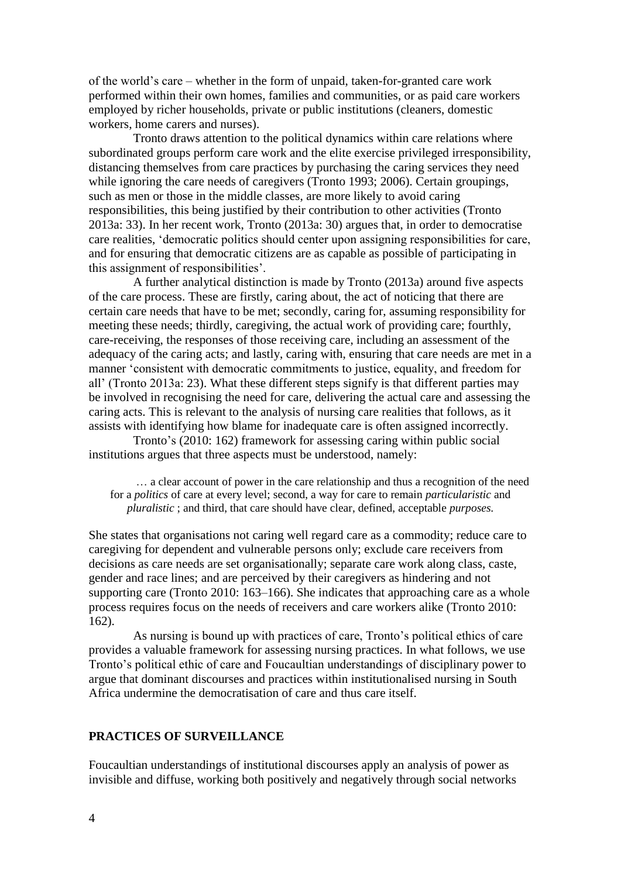of the world's care – whether in the form of unpaid, taken-for-granted care work performed within their own homes, families and communities, or as paid care workers employed by richer households, private or public institutions (cleaners, domestic workers, home carers and nurses).

Tronto draws attention to the political dynamics within care relations where subordinated groups perform care work and the elite exercise privileged irresponsibility, distancing themselves from care practices by purchasing the caring services they need while ignoring the care needs of caregivers (Tronto 1993; 2006). Certain groupings, such as men or those in the middle classes, are more likely to avoid caring responsibilities, this being justified by their contribution to other activities (Tronto 2013a: 33). In her recent work, Tronto (2013a: 30) argues that, in order to democratise care realities, 'democratic politics should center upon assigning responsibilities for care, and for ensuring that democratic citizens are as capable as possible of participating in this assignment of responsibilities'.

A further analytical distinction is made by Tronto (2013a) around five aspects of the care process. These are firstly, caring about, the act of noticing that there are certain care needs that have to be met; secondly, caring for, assuming responsibility for meeting these needs; thirdly, caregiving, the actual work of providing care; fourthly, care-receiving, the responses of those receiving care, including an assessment of the adequacy of the caring acts; and lastly, caring with, ensuring that care needs are met in a manner 'consistent with democratic commitments to justice, equality, and freedom for all' (Tronto 2013a: 23). What these different steps signify is that different parties may be involved in recognising the need for care, delivering the actual care and assessing the caring acts. This is relevant to the analysis of nursing care realities that follows, as it assists with identifying how blame for inadequate care is often assigned incorrectly.

Tronto's (2010: 162) framework for assessing caring within public social institutions argues that three aspects must be understood, namely:

… a clear account of power in the care relationship and thus a recognition of the need for a *politics* of care at every level; second, a way for care to remain *particularistic* and *pluralistic* ; and third, that care should have clear, defined, acceptable *purposes.*

She states that organisations not caring well regard care as a commodity; reduce care to caregiving for dependent and vulnerable persons only; exclude care receivers from decisions as care needs are set organisationally; separate care work along class, caste, gender and race lines; and are perceived by their caregivers as hindering and not supporting care (Tronto 2010: 163–166). She indicates that approaching care as a whole process requires focus on the needs of receivers and care workers alike (Tronto 2010: 162).

As nursing is bound up with practices of care, Tronto's political ethics of care provides a valuable framework for assessing nursing practices. In what follows, we use Tronto's political ethic of care and Foucaultian understandings of disciplinary power to argue that dominant discourses and practices within institutionalised nursing in South Africa undermine the democratisation of care and thus care itself.

## **PRACTICES OF SURVEILLANCE**

Foucaultian understandings of institutional discourses apply an analysis of power as invisible and diffuse, working both positively and negatively through social networks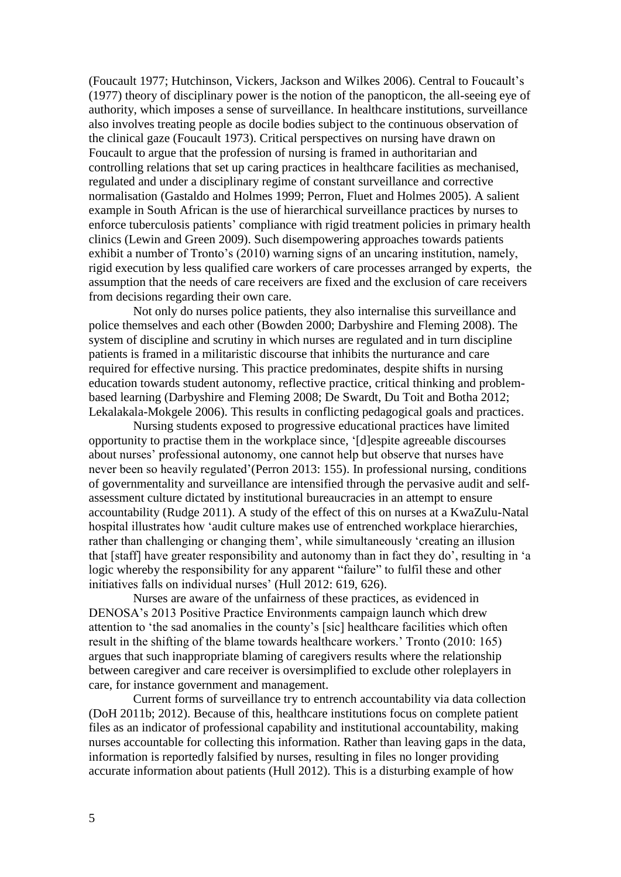(Foucault 1977; Hutchinson, Vickers, Jackson and Wilkes 2006). Central to Foucault's (1977) theory of disciplinary power is the notion of the panopticon, the all-seeing eye of authority, which imposes a sense of surveillance. In healthcare institutions, surveillance also involves treating people as docile bodies subject to the continuous observation of the clinical gaze (Foucault 1973). Critical perspectives on nursing have drawn on Foucault to argue that the profession of nursing is framed in authoritarian and controlling relations that set up caring practices in healthcare facilities as mechanised, regulated and under a disciplinary regime of constant surveillance and corrective normalisation (Gastaldo and Holmes 1999; Perron, Fluet and Holmes 2005). A salient example in South African is the use of hierarchical surveillance practices by nurses to enforce tuberculosis patients' compliance with rigid treatment policies in primary health clinics (Lewin and Green 2009). Such disempowering approaches towards patients exhibit a number of Tronto's (2010) warning signs of an uncaring institution, namely, rigid execution by less qualified care workers of care processes arranged by experts, the assumption that the needs of care receivers are fixed and the exclusion of care receivers from decisions regarding their own care.

Not only do nurses police patients, they also internalise this surveillance and police themselves and each other (Bowden 2000; Darbyshire and Fleming 2008). The system of discipline and scrutiny in which nurses are regulated and in turn discipline patients is framed in a militaristic discourse that inhibits the nurturance and care required for effective nursing. This practice predominates, despite shifts in nursing education towards student autonomy, reflective practice, critical thinking and problembased learning (Darbyshire and Fleming 2008; De Swardt, Du Toit and Botha 2012; Lekalakala-Mokgele 2006). This results in conflicting pedagogical goals and practices.

Nursing students exposed to progressive educational practices have limited opportunity to practise them in the workplace since, '[d]espite agreeable discourses about nurses' professional autonomy, one cannot help but observe that nurses have never been so heavily regulated'(Perron 2013: 155). In professional nursing, conditions of governmentality and surveillance are intensified through the pervasive audit and selfassessment culture dictated by institutional bureaucracies in an attempt to ensure accountability (Rudge 2011). A study of the effect of this on nurses at a KwaZulu-Natal hospital illustrates how 'audit culture makes use of entrenched workplace hierarchies, rather than challenging or changing them', while simultaneously 'creating an illusion that [staff] have greater responsibility and autonomy than in fact they do', resulting in 'a logic whereby the responsibility for any apparent "failure" to fulfil these and other initiatives falls on individual nurses' (Hull 2012: 619, 626).

Nurses are aware of the unfairness of these practices, as evidenced in DENOSA's 2013 Positive Practice Environments campaign launch which drew attention to 'the sad anomalies in the county's [sic] healthcare facilities which often result in the shifting of the blame towards healthcare workers.' Tronto (2010: 165) argues that such inappropriate blaming of caregivers results where the relationship between caregiver and care receiver is oversimplified to exclude other roleplayers in care, for instance government and management.

Current forms of surveillance try to entrench accountability via data collection (DoH 2011b; 2012). Because of this, healthcare institutions focus on complete patient files as an indicator of professional capability and institutional accountability, making nurses accountable for collecting this information. Rather than leaving gaps in the data, information is reportedly falsified by nurses, resulting in files no longer providing accurate information about patients (Hull 2012). This is a disturbing example of how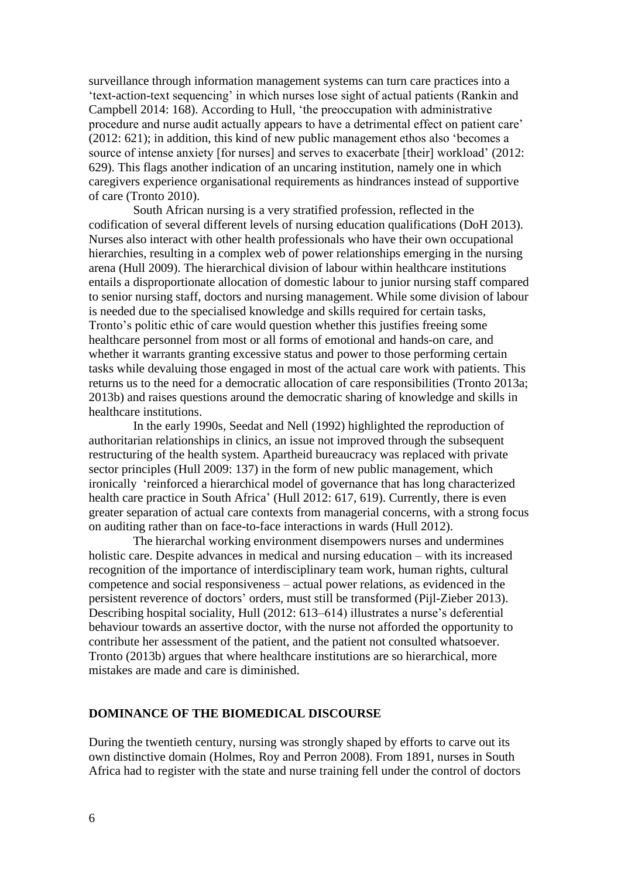surveillance through information management systems can turn care practices into a 'text-action-text sequencing' in which nurses lose sight of actual patients (Rankin and Campbell 2014: 168). According to Hull, 'the preoccupation with administrative procedure and nurse audit actually appears to have a detrimental effect on patient care' (2012: 621); in addition, this kind of new public management ethos also 'becomes a source of intense anxiety [for nurses] and serves to exacerbate [their] workload' (2012: 629). This flags another indication of an uncaring institution, namely one in which caregivers experience organisational requirements as hindrances instead of supportive of care (Tronto 2010).

South African nursing is a very stratified profession, reflected in the codification of several different levels of nursing education qualifications (DoH 2013). Nurses also interact with other health professionals who have their own occupational hierarchies, resulting in a complex web of power relationships emerging in the nursing arena (Hull 2009). The hierarchical division of labour within healthcare institutions entails a disproportionate allocation of domestic labour to junior nursing staff compared to senior nursing staff, doctors and nursing management. While some division of labour is needed due to the specialised knowledge and skills required for certain tasks, Tronto's politic ethic of care would question whether this justifies freeing some healthcare personnel from most or all forms of emotional and hands-on care, and whether it warrants granting excessive status and power to those performing certain tasks while devaluing those engaged in most of the actual care work with patients. This returns us to the need for a democratic allocation of care responsibilities (Tronto 2013a; 2013b) and raises questions around the democratic sharing of knowledge and skills in healthcare institutions.

In the early 1990s, Seedat and Nell (1992) highlighted the reproduction of authoritarian relationships in clinics, an issue not improved through the subsequent restructuring of the health system. Apartheid bureaucracy was replaced with private sector principles (Hull 2009: 137) in the form of new public management, which ironically 'reinforced a hierarchical model of governance that has long characterized health care practice in South Africa' (Hull 2012: 617, 619). Currently, there is even greater separation of actual care contexts from managerial concerns, with a strong focus on auditing rather than on face-to-face interactions in wards (Hull 2012).

The hierarchal working environment disempowers nurses and undermines holistic care. Despite advances in medical and nursing education – with its increased recognition of the importance of interdisciplinary team work, human rights, cultural competence and social responsiveness – actual power relations, as evidenced in the persistent reverence of doctors' orders, must still be transformed (Pijl-Zieber 2013). Describing hospital sociality, Hull (2012: 613–614) illustrates a nurse's deferential behaviour towards an assertive doctor, with the nurse not afforded the opportunity to contribute her assessment of the patient, and the patient not consulted whatsoever. Tronto (2013b) argues that where healthcare institutions are so hierarchical, more mistakes are made and care is diminished.

#### **DOMINANCE OF THE BIOMEDICAL DISCOURSE**

During the twentieth century, nursing was strongly shaped by efforts to carve out its own distinctive domain (Holmes, Roy and Perron 2008). From 1891, nurses in South Africa had to register with the state and nurse training fell under the control of doctors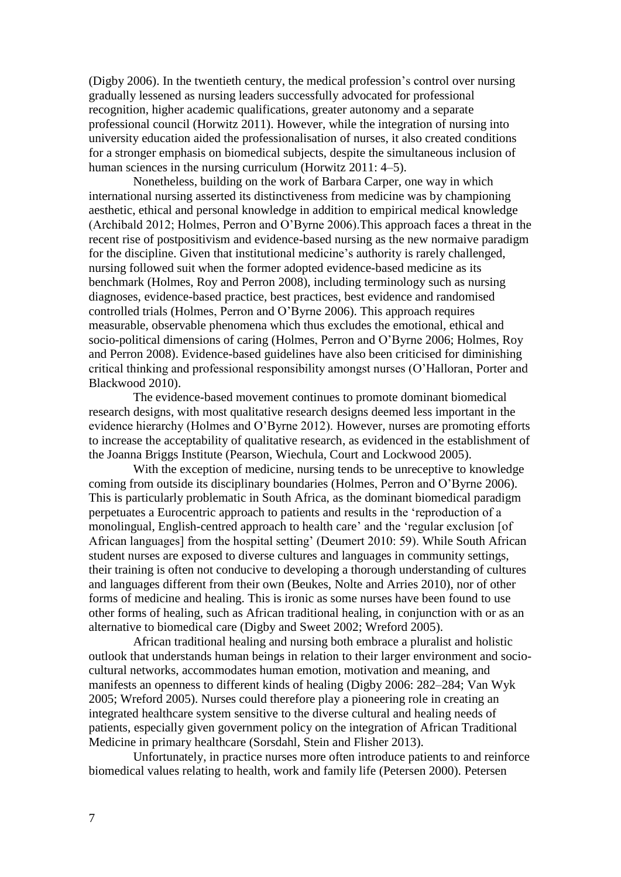(Digby 2006). In the twentieth century, the medical profession's control over nursing gradually lessened as nursing leaders successfully advocated for professional recognition, higher academic qualifications, greater autonomy and a separate professional council (Horwitz 2011). However, while the integration of nursing into university education aided the professionalisation of nurses, it also created conditions for a stronger emphasis on biomedical subjects, despite the simultaneous inclusion of human sciences in the nursing curriculum (Horwitz 2011: 4–5).

Nonetheless, building on the work of Barbara Carper, one way in which international nursing asserted its distinctiveness from medicine was by championing aesthetic, ethical and personal knowledge in addition to empirical medical knowledge (Archibald 2012; Holmes, Perron and O'Byrne 2006).This approach faces a threat in the recent rise of postpositivism and evidence-based nursing as the new normaive paradigm for the discipline. Given that institutional medicine's authority is rarely challenged, nursing followed suit when the former adopted evidence-based medicine as its benchmark (Holmes, Roy and Perron 2008), including terminology such as nursing diagnoses, evidence-based practice, best practices, best evidence and randomised controlled trials (Holmes, Perron and O'Byrne 2006). This approach requires measurable, observable phenomena which thus excludes the emotional, ethical and socio-political dimensions of caring (Holmes, Perron and O'Byrne 2006; Holmes, Roy and Perron 2008). Evidence-based guidelines have also been criticised for diminishing critical thinking and professional responsibility amongst nurses (O'Halloran, Porter and Blackwood 2010).

The evidence-based movement continues to promote dominant biomedical research designs, with most qualitative research designs deemed less important in the evidence hierarchy (Holmes and O'Byrne 2012). However, nurses are promoting efforts to increase the acceptability of qualitative research, as evidenced in the establishment of the Joanna Briggs Institute (Pearson, Wiechula, Court and Lockwood 2005).

With the exception of medicine, nursing tends to be unreceptive to knowledge coming from outside its disciplinary boundaries (Holmes, Perron and O'Byrne 2006). This is particularly problematic in South Africa, as the dominant biomedical paradigm perpetuates a Eurocentric approach to patients and results in the 'reproduction of a monolingual, English-centred approach to health care' and the 'regular exclusion [of African languages] from the hospital setting' (Deumert 2010: 59). While South African student nurses are exposed to diverse cultures and languages in community settings, their training is often not conducive to developing a thorough understanding of cultures and languages different from their own (Beukes, Nolte and Arries 2010), nor of other forms of medicine and healing. This is ironic as some nurses have been found to use other forms of healing, such as African traditional healing, in conjunction with or as an alternative to biomedical care (Digby and Sweet 2002; Wreford 2005).

African traditional healing and nursing both embrace a pluralist and holistic outlook that understands human beings in relation to their larger environment and sociocultural networks, accommodates human emotion, motivation and meaning, and manifests an openness to different kinds of healing (Digby 2006: 282–284; Van Wyk 2005; Wreford 2005). Nurses could therefore play a pioneering role in creating an integrated healthcare system sensitive to the diverse cultural and healing needs of patients, especially given government policy on the integration of African Traditional Medicine in primary healthcare (Sorsdahl, Stein and Flisher 2013).

Unfortunately, in practice nurses more often introduce patients to and reinforce biomedical values relating to health, work and family life (Petersen 2000). Petersen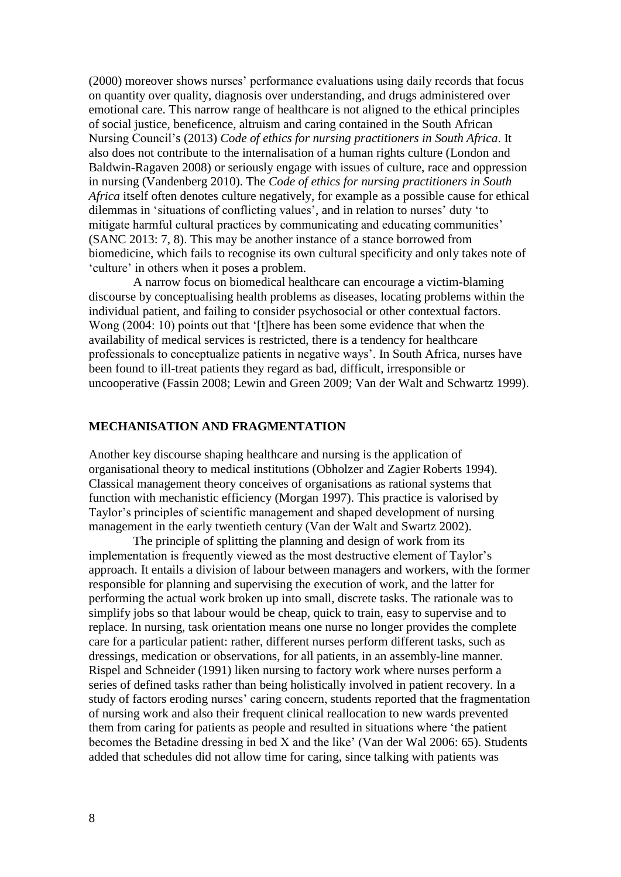(2000) moreover shows nurses' performance evaluations using daily records that focus on quantity over quality, diagnosis over understanding, and drugs administered over emotional care. This narrow range of healthcare is not aligned to the ethical principles of social justice, beneficence, altruism and caring contained in the South African Nursing Council's (2013) *Code of ethics for nursing practitioners in South Africa*. It also does not contribute to the internalisation of a human rights culture (London and Baldwin-Ragaven 2008) or seriously engage with issues of culture, race and oppression in nursing (Vandenberg 2010). The *Code of ethics for nursing practitioners in South Africa* itself often denotes culture negatively, for example as a possible cause for ethical dilemmas in 'situations of conflicting values', and in relation to nurses' duty 'to mitigate harmful cultural practices by communicating and educating communities' (SANC 2013: 7, 8). This may be another instance of a stance borrowed from biomedicine, which fails to recognise its own cultural specificity and only takes note of 'culture' in others when it poses a problem.

A narrow focus on biomedical healthcare can encourage a victim-blaming discourse by conceptualising health problems as diseases, locating problems within the individual patient, and failing to consider psychosocial or other contextual factors. Wong (2004: 10) points out that '[t]here has been some evidence that when the availability of medical services is restricted, there is a tendency for healthcare professionals to conceptualize patients in negative ways'. In South Africa, nurses have been found to ill-treat patients they regard as bad, difficult, irresponsible or uncooperative (Fassin 2008; Lewin and Green 2009; Van der Walt and Schwartz 1999).

### **MECHANISATION AND FRAGMENTATION**

Another key discourse shaping healthcare and nursing is the application of organisational theory to medical institutions (Obholzer and Zagier Roberts 1994). Classical management theory conceives of organisations as rational systems that function with mechanistic efficiency (Morgan 1997). This practice is valorised by Taylor's principles of scientific management and shaped development of nursing management in the early twentieth century (Van der Walt and Swartz 2002).

The principle of splitting the planning and design of work from its implementation is frequently viewed as the most destructive element of Taylor's approach. It entails a division of labour between managers and workers, with the former responsible for planning and supervising the execution of work, and the latter for performing the actual work broken up into small, discrete tasks. The rationale was to simplify jobs so that labour would be cheap, quick to train, easy to supervise and to replace. In nursing, task orientation means one nurse no longer provides the complete care for a particular patient: rather, different nurses perform different tasks, such as dressings, medication or observations, for all patients, in an assembly-line manner. Rispel and Schneider (1991) liken nursing to factory work where nurses perform a series of defined tasks rather than being holistically involved in patient recovery. In a study of factors eroding nurses' caring concern, students reported that the fragmentation of nursing work and also their frequent clinical reallocation to new wards prevented them from caring for patients as people and resulted in situations where 'the patient becomes the Betadine dressing in bed X and the like' (Van der Wal 2006: 65). Students added that schedules did not allow time for caring, since talking with patients was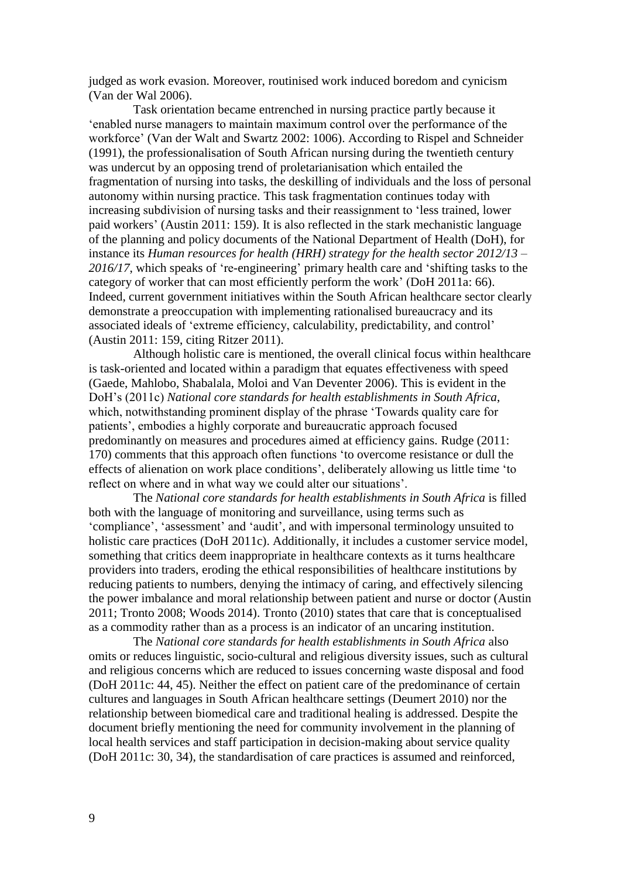judged as work evasion. Moreover, routinised work induced boredom and cynicism (Van der Wal 2006).

Task orientation became entrenched in nursing practice partly because it 'enabled nurse managers to maintain maximum control over the performance of the workforce' (Van der Walt and Swartz 2002: 1006). According to Rispel and Schneider (1991), the professionalisation of South African nursing during the twentieth century was undercut by an opposing trend of proletarianisation which entailed the fragmentation of nursing into tasks, the deskilling of individuals and the loss of personal autonomy within nursing practice. This task fragmentation continues today with increasing subdivision of nursing tasks and their reassignment to 'less trained, lower paid workers' (Austin 2011: 159). It is also reflected in the stark mechanistic language of the planning and policy documents of the National Department of Health (DoH), for instance its *Human resources for health (HRH) strategy for the health sector 2012/13 – 2016/17*, which speaks of 're-engineering' primary health care and 'shifting tasks to the category of worker that can most efficiently perform the work' (DoH 2011a: 66). Indeed, current government initiatives within the South African healthcare sector clearly demonstrate a preoccupation with implementing rationalised bureaucracy and its associated ideals of 'extreme efficiency, calculability, predictability, and control' (Austin 2011: 159, citing Ritzer 2011).

Although holistic care is mentioned, the overall clinical focus within healthcare is task-oriented and located within a paradigm that equates effectiveness with speed (Gaede, Mahlobo, Shabalala, Moloi and Van Deventer 2006). This is evident in the DoH's (2011c) *National core standards for health establishments in South Africa*, which, notwithstanding prominent display of the phrase 'Towards quality care for patients', embodies a highly corporate and bureaucratic approach focused predominantly on measures and procedures aimed at efficiency gains. Rudge (2011: 170) comments that this approach often functions 'to overcome resistance or dull the effects of alienation on work place conditions', deliberately allowing us little time 'to reflect on where and in what way we could alter our situations'.

The *National core standards for health establishments in South Africa* is filled both with the language of monitoring and surveillance, using terms such as 'compliance', 'assessment' and 'audit', and with impersonal terminology unsuited to holistic care practices (DoH 2011c). Additionally, it includes a customer service model, something that critics deem inappropriate in healthcare contexts as it turns healthcare providers into traders, eroding the ethical responsibilities of healthcare institutions by reducing patients to numbers, denying the intimacy of caring, and effectively silencing the power imbalance and moral relationship between patient and nurse or doctor (Austin 2011; Tronto 2008; Woods 2014). Tronto (2010) states that care that is conceptualised as a commodity rather than as a process is an indicator of an uncaring institution.

The *National core standards for health establishments in South Africa* also omits or reduces linguistic, socio-cultural and religious diversity issues, such as cultural and religious concerns which are reduced to issues concerning waste disposal and food (DoH 2011c: 44, 45). Neither the effect on patient care of the predominance of certain cultures and languages in South African healthcare settings (Deumert 2010) nor the relationship between biomedical care and traditional healing is addressed. Despite the document briefly mentioning the need for community involvement in the planning of local health services and staff participation in decision-making about service quality (DoH 2011c: 30, 34), the standardisation of care practices is assumed and reinforced,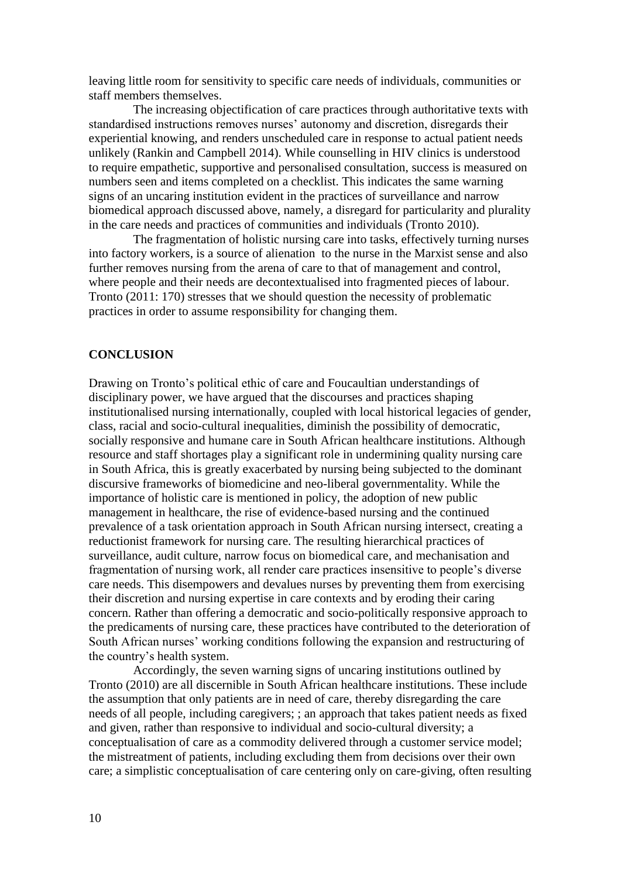leaving little room for sensitivity to specific care needs of individuals, communities or staff members themselves.

The increasing objectification of care practices through authoritative texts with standardised instructions removes nurses' autonomy and discretion, disregards their experiential knowing, and renders unscheduled care in response to actual patient needs unlikely (Rankin and Campbell 2014). While counselling in HIV clinics is understood to require empathetic, supportive and personalised consultation, success is measured on numbers seen and items completed on a checklist. This indicates the same warning signs of an uncaring institution evident in the practices of surveillance and narrow biomedical approach discussed above, namely, a disregard for particularity and plurality in the care needs and practices of communities and individuals (Tronto 2010).

The fragmentation of holistic nursing care into tasks, effectively turning nurses into factory workers, is a source of alienation to the nurse in the Marxist sense and also further removes nursing from the arena of care to that of management and control, where people and their needs are decontextualised into fragmented pieces of labour. Tronto (2011: 170) stresses that we should question the necessity of problematic practices in order to assume responsibility for changing them.

### **CONCLUSION**

Drawing on Tronto's political ethic of care and Foucaultian understandings of disciplinary power, we have argued that the discourses and practices shaping institutionalised nursing internationally, coupled with local historical legacies of gender, class, racial and socio-cultural inequalities, diminish the possibility of democratic, socially responsive and humane care in South African healthcare institutions. Although resource and staff shortages play a significant role in undermining quality nursing care in South Africa, this is greatly exacerbated by nursing being subjected to the dominant discursive frameworks of biomedicine and neo-liberal governmentality. While the importance of holistic care is mentioned in policy, the adoption of new public management in healthcare, the rise of evidence-based nursing and the continued prevalence of a task orientation approach in South African nursing intersect, creating a reductionist framework for nursing care. The resulting hierarchical practices of surveillance, audit culture, narrow focus on biomedical care, and mechanisation and fragmentation of nursing work, all render care practices insensitive to people's diverse care needs. This disempowers and devalues nurses by preventing them from exercising their discretion and nursing expertise in care contexts and by eroding their caring concern. Rather than offering a democratic and socio-politically responsive approach to the predicaments of nursing care, these practices have contributed to the deterioration of South African nurses' working conditions following the expansion and restructuring of the country's health system.

Accordingly, the seven warning signs of uncaring institutions outlined by Tronto (2010) are all discernible in South African healthcare institutions. These include the assumption that only patients are in need of care, thereby disregarding the care needs of all people, including caregivers; ; an approach that takes patient needs as fixed and given, rather than responsive to individual and socio-cultural diversity; a conceptualisation of care as a commodity delivered through a customer service model; the mistreatment of patients, including excluding them from decisions over their own care; a simplistic conceptualisation of care centering only on care-giving, often resulting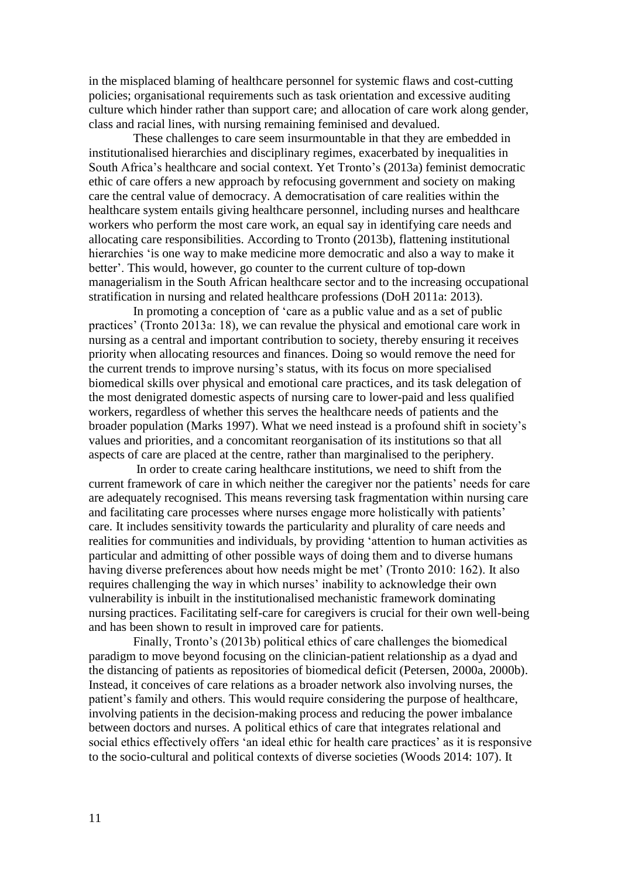in the misplaced blaming of healthcare personnel for systemic flaws and cost-cutting policies; organisational requirements such as task orientation and excessive auditing culture which hinder rather than support care; and allocation of care work along gender, class and racial lines, with nursing remaining feminised and devalued.

These challenges to care seem insurmountable in that they are embedded in institutionalised hierarchies and disciplinary regimes, exacerbated by inequalities in South Africa's healthcare and social context. Yet Tronto's (2013a) feminist democratic ethic of care offers a new approach by refocusing government and society on making care the central value of democracy. A democratisation of care realities within the healthcare system entails giving healthcare personnel, including nurses and healthcare workers who perform the most care work, an equal say in identifying care needs and allocating care responsibilities. According to Tronto (2013b), flattening institutional hierarchies 'is one way to make medicine more democratic and also a way to make it better'. This would, however, go counter to the current culture of top-down managerialism in the South African healthcare sector and to the increasing occupational stratification in nursing and related healthcare professions (DoH 2011a: 2013).

In promoting a conception of 'care as a public value and as a set of public practices' (Tronto 2013a: 18), we can revalue the physical and emotional care work in nursing as a central and important contribution to society, thereby ensuring it receives priority when allocating resources and finances. Doing so would remove the need for the current trends to improve nursing's status, with its focus on more specialised biomedical skills over physical and emotional care practices, and its task delegation of the most denigrated domestic aspects of nursing care to lower-paid and less qualified workers, regardless of whether this serves the healthcare needs of patients and the broader population (Marks 1997). What we need instead is a profound shift in society's values and priorities, and a concomitant reorganisation of its institutions so that all aspects of care are placed at the centre, rather than marginalised to the periphery.

In order to create caring healthcare institutions, we need to shift from the current framework of care in which neither the caregiver nor the patients' needs for care are adequately recognised. This means reversing task fragmentation within nursing care and facilitating care processes where nurses engage more holistically with patients' care. It includes sensitivity towards the particularity and plurality of care needs and realities for communities and individuals, by providing 'attention to human activities as particular and admitting of other possible ways of doing them and to diverse humans having diverse preferences about how needs might be met' (Tronto 2010: 162). It also requires challenging the way in which nurses' inability to acknowledge their own vulnerability is inbuilt in the institutionalised mechanistic framework dominating nursing practices. Facilitating self-care for caregivers is crucial for their own well-being and has been shown to result in improved care for patients.

Finally, Tronto's (2013b) political ethics of care challenges the biomedical paradigm to move beyond focusing on the clinician-patient relationship as a dyad and the distancing of patients as repositories of biomedical deficit (Petersen, 2000a, 2000b). Instead, it conceives of care relations as a broader network also involving nurses, the patient's family and others. This would require considering the purpose of healthcare, involving patients in the decision-making process and reducing the power imbalance between doctors and nurses. A political ethics of care that integrates relational and social ethics effectively offers 'an ideal ethic for health care practices' as it is responsive to the socio-cultural and political contexts of diverse societies (Woods 2014: 107). It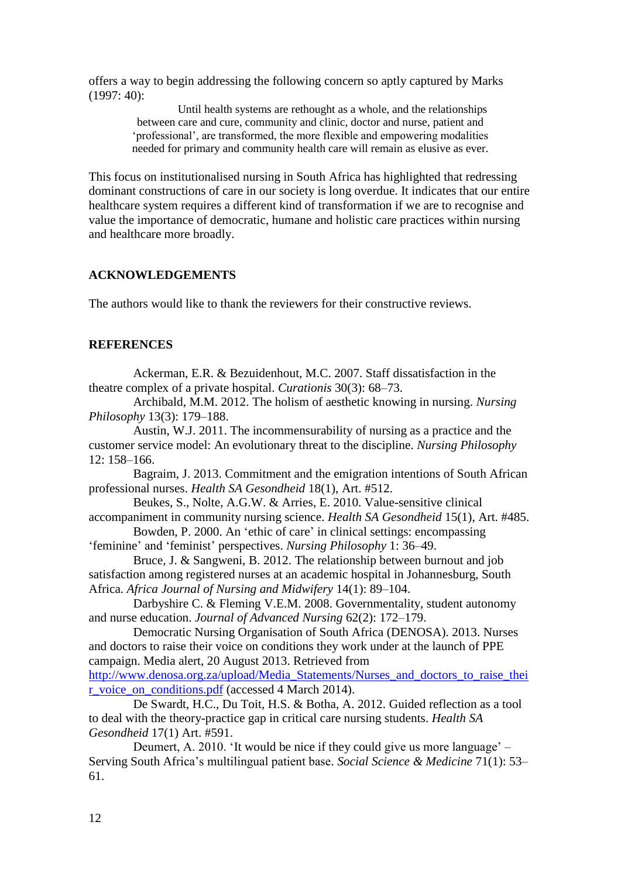offers a way to begin addressing the following concern so aptly captured by Marks (1997: 40):

> Until health systems are rethought as a whole, and the relationships between care and cure, community and clinic, doctor and nurse, patient and 'professional', are transformed, the more flexible and empowering modalities needed for primary and community health care will remain as elusive as ever.

This focus on institutionalised nursing in South Africa has highlighted that redressing dominant constructions of care in our society is long overdue. It indicates that our entire healthcare system requires a different kind of transformation if we are to recognise and value the importance of democratic, humane and holistic care practices within nursing and healthcare more broadly.

# **ACKNOWLEDGEMENTS**

The authors would like to thank the reviewers for their constructive reviews.

# **REFERENCES**

Ackerman, E.R. & Bezuidenhout, M.C. 2007. Staff dissatisfaction in the theatre complex of a private hospital. *Curationis* 30(3): 68–73.

Archibald, M.M. 2012. The holism of aesthetic knowing in nursing. *Nursing Philosophy* 13(3): 179–188.

Austin, W.J. 2011. The incommensurability of nursing as a practice and the customer service model: An evolutionary threat to the discipline. *Nursing Philosophy* 12: 158–166.

Bagraim, J. 2013. Commitment and the emigration intentions of South African professional nurses. *Health SA Gesondheid* 18(1), Art. #512.

Beukes, S., Nolte, A.G.W. & Arries, E. 2010. Value-sensitive clinical accompaniment in community nursing science. *Health SA Gesondheid* 15(1), Art. #485.

Bowden, P. 2000. An 'ethic of care' in clinical settings: encompassing 'feminine' and 'feminist' perspectives. *Nursing Philosophy* 1: 36–49.

Bruce, J. & Sangweni, B. 2012. The relationship between burnout and job satisfaction among registered nurses at an academic hospital in Johannesburg, South Africa. *Africa Journal of Nursing and Midwifery* 14(1): 89–104.

Darbyshire C. & Fleming V.E.M. 2008. Governmentality, student autonomy and nurse education. *Journal of Advanced Nursing* 62(2): 172–179.

Democratic Nursing Organisation of South Africa (DENOSA). 2013. Nurses and doctors to raise their voice on conditions they work under at the launch of PPE campaign. Media alert, 20 August 2013. Retrieved from [http://www.denosa.org.za/upload/Media\\_Statements/Nurses\\_and\\_doctors\\_to\\_raise\\_thei](http://www.denosa.org.za/upload/Media_Statements/Nurses_and_doctors_to_raise_their_voice_on_conditions.pdf) [r\\_voice\\_on\\_conditions.pdf](http://www.denosa.org.za/upload/Media_Statements/Nurses_and_doctors_to_raise_their_voice_on_conditions.pdf) (accessed 4 March 2014).

De Swardt, H.C., Du Toit, H.S. & Botha, A. 2012. Guided reflection as a tool to deal with the theory-practice gap in critical care nursing students. *Health SA Gesondheid* 17(1) Art. #591.

Deumert, A. 2010. 'It would be nice if they could give us more language' – Serving South Africa's multilingual patient base. *Social Science & Medicine* 71(1): 53– 61.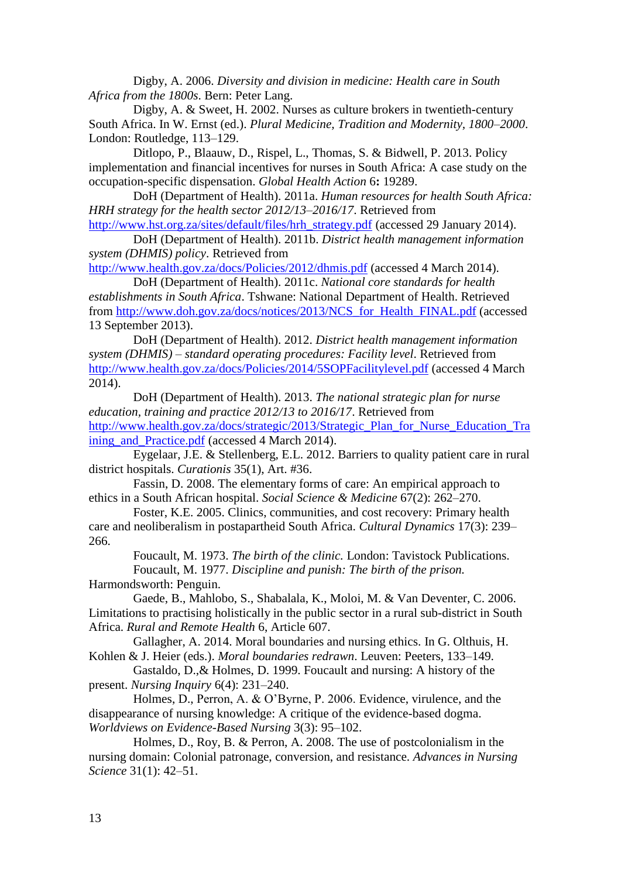Digby, A. 2006. *Diversity and division in medicine: Health care in South Africa from the 1800s*. Bern: Peter Lang.

Digby, A. & Sweet, H. 2002. Nurses as culture brokers in twentieth-century South Africa. In W. Ernst (ed.). *Plural Medicine, Tradition and Modernity, 1800–2000*. London: Routledge, 113–129.

Ditlopo, P., Blaauw, D., Rispel, L., Thomas, S. & Bidwell, P. 2013. Policy implementation and financial incentives for nurses in South Africa: A case study on the occupation-specific dispensation. *Global Health Action* 6**:** 19289.

DoH (Department of Health). 2011a. *Human resources for health South Africa: HRH strategy for the health sector 2012/13–2016/17*. Retrieved from

[http://www.hst.org.za/sites/default/files/hrh\\_strategy.pdf](http://www.hst.org.za/sites/default/files/hrh_strategy.pdf) (accessed 29 January 2014). DoH (Department of Health). 2011b. *District health management information* 

*system (DHMIS) policy*. Retrieved from <http://www.health.gov.za/docs/Policies/2012/dhmis.pdf> (accessed 4 March 2014).

DoH (Department of Health). 2011c. *National core standards for health establishments in South Africa*. Tshwane: National Department of Health. Retrieved from [http://www.doh.gov.za/docs/notices/2013/NCS\\_for\\_Health\\_FINAL.pdf](http://www.doh.gov.za/docs/notices/2013/NCS_for_Health_FINAL.pdf) (accessed 13 September 2013).

DoH (Department of Health). 2012. *District health management information system (DHMIS) – standard operating procedures: Facility level*. Retrieved from <http://www.health.gov.za/docs/Policies/2014/5SOPFacilitylevel.pdf> (accessed 4 March 2014).

DoH (Department of Health). 2013. *The national strategic plan for nurse education, training and practice 2012/13 to 2016/17*. Retrieved from [http://www.health.gov.za/docs/strategic/2013/Strategic\\_Plan\\_for\\_Nurse\\_Education\\_Tra](http://www.health.gov.za/docs/strategic/2013/Strategic_Plan_for_Nurse_Education_Training_and_Practice.pdf) ining and Practice.pdf (accessed 4 March 2014).

Eygelaar, J.E. & Stellenberg, E.L. 2012. Barriers to quality patient care in rural district hospitals. *Curationis* 35(1), Art. #36.

Fassin, D. 2008. The elementary forms of care: An empirical approach to ethics in a South African hospital. *Social Science & Medicine* 67(2): 262–270.

Foster, K.E. 2005. Clinics, communities, and cost recovery: Primary health care and neoliberalism in postapartheid South Africa. *Cultural Dynamics* 17(3): 239– 266.

Foucault, M. 1973. *The birth of the clinic.* London: Tavistock Publications. Foucault, M. 1977. *Discipline and punish: The birth of the prison.*

Harmondsworth: Penguin.

Gaede, B., Mahlobo, S., Shabalala, K., Moloi, M. & Van Deventer, C. 2006. Limitations to practising holistically in the public sector in a rural sub-district in South Africa. *Rural and Remote Health* 6, Article 607.

Gallagher, A. 2014. Moral boundaries and nursing ethics. In G. Olthuis, H. Kohlen & J. Heier (eds.). *Moral boundaries redrawn*. Leuven: Peeters, 133–149.

Gastaldo, D.,& Holmes, D. 1999. Foucault and nursing: A history of the present. *Nursing Inquiry* 6(4): 231–240.

Holmes, D., Perron, A. & O'Byrne, P. 2006. Evidence, virulence, and the disappearance of nursing knowledge: A critique of the evidence-based dogma. *Worldviews on Evidence-Based Nursing* 3(3): 95–102.

Holmes, D., Roy, B. & Perron, A. 2008. The use of postcolonialism in the nursing domain: Colonial patronage, conversion, and resistance. *Advances in Nursing Science* 31(1): 42–51.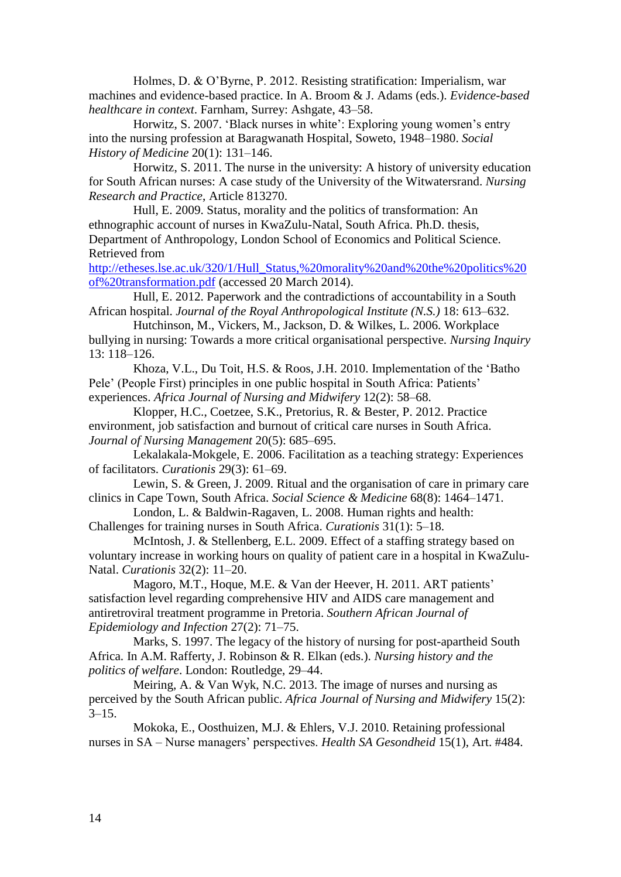Holmes, D. & O'Byrne, P. 2012. Resisting stratification: Imperialism, war machines and evidence-based practice. In A. Broom & J. Adams (eds.). *Evidence-based healthcare in context*. Farnham, Surrey: Ashgate, 43–58.

Horwitz, S. 2007. 'Black nurses in white': Exploring young women's entry into the nursing profession at Baragwanath Hospital, Soweto, 1948–1980. *Social History of Medicine* 20(1): 131–146.

Horwitz, S. 2011. The nurse in the university: A history of university education for South African nurses: A case study of the University of the Witwatersrand. *Nursing Research and Practice*, Article 813270.

Hull, E. 2009. Status, morality and the politics of transformation: An ethnographic account of nurses in KwaZulu-Natal, South Africa. Ph.D. thesis, Department of Anthropology, London School of Economics and Political Science. Retrieved from

[http://etheses.lse.ac.uk/320/1/Hull\\_Status,%20morality%20and%20the%20politics%20](http://etheses.lse.ac.uk/320/1/Hull_Status,%20morality%20and%20the%20politics%20of%20transformation.pdf) [of%20transformation.pdf](http://etheses.lse.ac.uk/320/1/Hull_Status,%20morality%20and%20the%20politics%20of%20transformation.pdf) (accessed 20 March 2014).

Hull, E. 2012. Paperwork and the contradictions of accountability in a South African hospital. *Journal of the Royal Anthropological Institute (N.S.)* 18: 613–632.

Hutchinson, M., Vickers, M., Jackson, D. & Wilkes, L. 2006. Workplace bullying in nursing: Towards a more critical organisational perspective. *Nursing Inquiry* 13: 118–126.

Khoza, V.L., Du Toit, H.S. & Roos, J.H. 2010. Implementation of the 'Batho Pele' (People First) principles in one public hospital in South Africa: Patients' experiences. *Africa Journal of Nursing and Midwifery* 12(2): 58–68.

Klopper, H.C., Coetzee, S.K., Pretorius, R. & Bester, P. 2012. Practice environment, job satisfaction and burnout of critical care nurses in South Africa. *Journal of Nursing Management* 20(5): 685–695.

Lekalakala-Mokgele, E. 2006. Facilitation as a teaching strategy: Experiences of facilitators. *Curationis* 29(3): 61–69.

Lewin, S. & Green, J. 2009. Ritual and the organisation of care in primary care clinics in Cape Town, South Africa. *Social Science & Medicine* 68(8): 1464–1471.

London, L. & Baldwin-Ragaven, L. 2008. Human rights and health: Challenges for training nurses in South Africa. *Curationis* 31(1): 5–18.

McIntosh, J. & Stellenberg, E.L. 2009. Effect of a staffing strategy based on voluntary increase in working hours on quality of patient care in a hospital in KwaZulu-Natal. *Curationis* 32(2): 11–20.

Magoro, M.T., Hoque, M.E. & Van der Heever, H. 2011. ART patients' satisfaction level regarding comprehensive HIV and AIDS care management and antiretroviral treatment programme in Pretoria. *Southern African Journal of Epidemiology and Infection* 27(2): 71–75.

Marks, S. 1997. The legacy of the history of nursing for post-apartheid South Africa. In A.M. Rafferty, J. Robinson & R. Elkan (eds.). *Nursing history and the politics of welfare*. London: Routledge, 29–44.

Meiring, A. & Van Wyk, N.C. 2013. The image of nurses and nursing as perceived by the South African public. *Africa Journal of Nursing and Midwifery* 15(2):  $3 - 15$ .

Mokoka, E., Oosthuizen, M.J. & Ehlers, V.J. 2010. Retaining professional nurses in SA – Nurse managers' perspectives. *Health SA Gesondheid* 15(1), Art. #484.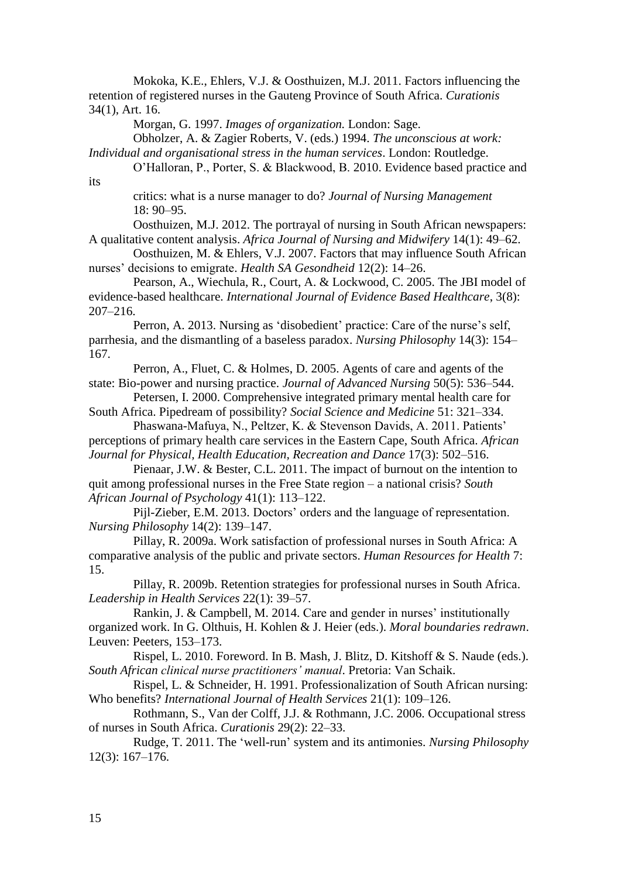Mokoka, K.E., Ehlers, V.J. & Oosthuizen, M.J. 2011. Factors influencing the retention of registered nurses in the Gauteng Province of South Africa. *Curationis*  34(1), Art. 16.

Morgan, G. 1997. *Images of organization.* London: Sage.

Obholzer, A. & Zagier Roberts, V. (eds.) 1994. *The unconscious at work:* 

*Individual and organisational stress in the human services*. London: Routledge.

O'Halloran, P., Porter, S. & Blackwood, B. 2010. Evidence based practice and

critics: what is a nurse manager to do? *Journal of Nursing Management* 18: 90–95.

Oosthuizen, M.J. 2012. The portrayal of nursing in South African newspapers: A qualitative content analysis. *Africa Journal of Nursing and Midwifery* 14(1): 49–62.

Oosthuizen, M. & Ehlers, V.J. 2007. Factors that may influence South African nurses' decisions to emigrate. *Health SA Gesondheid* 12(2): 14–26.

Pearson, A., Wiechula, R., Court, A. & Lockwood, C. 2005. The JBI model of evidence-based healthcare. *International Journal of Evidence Based Healthcare*, 3(8): 207–216.

Perron, A. 2013. Nursing as 'disobedient' practice: Care of the nurse's self, parrhesia, and the dismantling of a baseless paradox. *Nursing Philosophy* 14(3): 154– 167.

Perron, A., Fluet, C. & Holmes, D. 2005. Agents of care and agents of the state: Bio-power and nursing practice. *Journal of Advanced Nursing* 50(5): 536–544.

Petersen, I. 2000. Comprehensive integrated primary mental health care for South Africa. Pipedream of possibility? *Social Science and Medicine* 51: 321–334.

Phaswana-Mafuya, N., Peltzer, K. & Stevenson Davids, A. 2011. Patients' perceptions of primary health care services in the Eastern Cape, South Africa. *African Journal for Physical, Health Education, Recreation and Dance* 17(3): 502–516.

Pienaar, J.W. & Bester, C.L. 2011. The impact of burnout on the intention to quit among professional nurses in the Free State region – a national crisis? *South African Journal of Psychology* 41(1): 113–122.

Pijl-Zieber, E.M. 2013. Doctors' orders and the language of representation. *Nursing Philosophy* 14(2): 139–147.

Pillay, R. 2009a. Work satisfaction of professional nurses in South Africa: A comparative analysis of the public and private sectors. *Human Resources for Health* 7: 15.

Pillay, R. 2009b. Retention strategies for professional nurses in South Africa. *Leadership in Health Services* 22(1): 39–57.

Rankin, J. & Campbell, M. 2014. Care and gender in nurses' institutionally organized work. In G. Olthuis, H. Kohlen & J. Heier (eds.). *Moral boundaries redrawn*. Leuven: Peeters, 153–173.

Rispel, L. 2010. Foreword. In B. Mash, J. Blitz, D. Kitshoff & S. Naude (eds.). *South African clinical nurse practitioners' manual*. Pretoria: Van Schaik.

Rispel, L. & Schneider, H. 1991. Professionalization of South African nursing: Who benefits? *International Journal of Health Services* 21(1): 109–126.

Rothmann, S., Van der Colff, J.J. & Rothmann, J.C. 2006. Occupational stress of nurses in South Africa. *Curationis* 29(2): 22–33.

Rudge, T. 2011. The 'well-run' system and its antimonies. *Nursing Philosophy* 12(3): 167–176.

its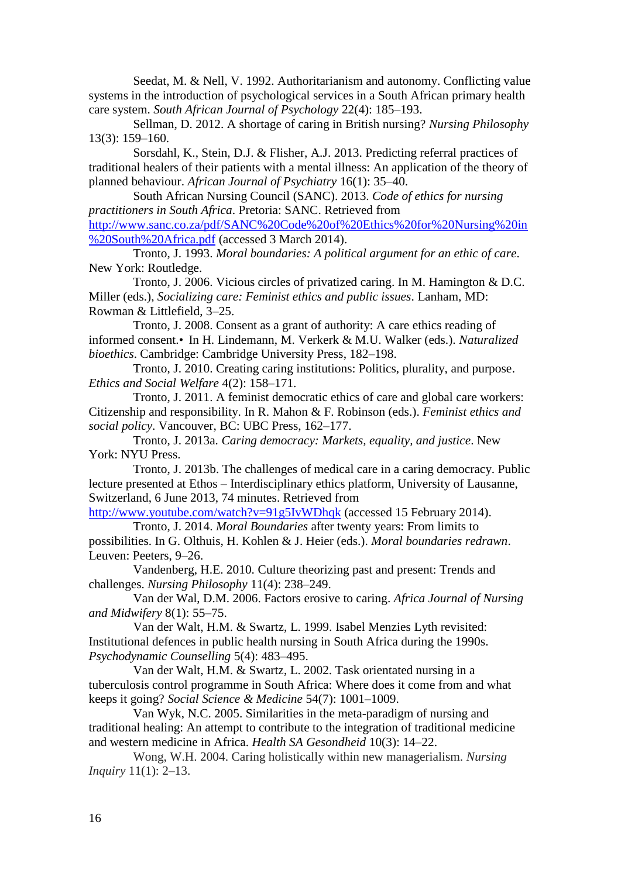Seedat, M. & Nell, V. 1992. Authoritarianism and autonomy. Conflicting value systems in the introduction of psychological services in a South African primary health care system. *South African Journal of Psychology* 22(4): 185–193.

Sellman, D. 2012. A shortage of caring in British nursing? *Nursing Philosophy*  13(3): 159–160.

Sorsdahl, K., Stein, D.J. & Flisher, A.J. 2013. Predicting referral practices of traditional healers of their patients with a mental illness: An application of the theory of planned behaviour. *African Journal of Psychiatry* 16(1): 35–40.

South African Nursing Council (SANC). 2013. *Code of ethics for nursing practitioners in South Africa*. Pretoria: SANC. Retrieved from [http://www.sanc.co.za/pdf/SANC%20Code%20of%20Ethics%20for%20Nursing%20in](http://www.sanc.co.za/pdf/SANC%20Code%20of%20Ethics%20for%20Nursing%20in%20South%20Africa.pdf) [%20South%20Africa.pdf](http://www.sanc.co.za/pdf/SANC%20Code%20of%20Ethics%20for%20Nursing%20in%20South%20Africa.pdf) (accessed 3 March 2014).

Tronto, J. 1993. *Moral boundaries: A political argument for an ethic of care*. New York: Routledge.

Tronto, J. 2006. Vicious circles of privatized caring. In M. Hamington & D.C. Miller (eds.), *Socializing care: Feminist ethics and public issues*. Lanham, MD: Rowman & Littlefield, 3–25.

Tronto, J. 2008. Consent as a grant of authority: A care ethics reading of informed consent.•In H. Lindemann, M. Verkerk & M.U. Walker (eds.). *Naturalized bioethics*. Cambridge: Cambridge University Press, 182–198.

Tronto, J. 2010. Creating caring institutions: Politics, plurality, and purpose. *Ethics and Social Welfare* 4(2): 158–171.

Tronto, J. 2011. A feminist democratic ethics of care and global care workers: Citizenship and responsibility. In R. Mahon & F. Robinson (eds.). *Feminist ethics and social policy*. Vancouver, BC: UBC Press, 162–177.

Tronto, J. 2013a. *Caring democracy: Markets, equality, and justice*. New York: NYU Press.

Tronto, J. 2013b. The challenges of medical care in a caring democracy. Public lecture presented at Ethos – Interdisciplinary ethics platform, University of Lausanne, Switzerland, 6 June 2013, 74 minutes. Retrieved from

<http://www.youtube.com/watch?v=91g5IvWDhqk> (accessed 15 February 2014). Tronto, J. 2014. *Moral Boundaries* after twenty years: From limits to

possibilities. In G. Olthuis, H. Kohlen & J. Heier (eds.). *Moral boundaries redrawn*. Leuven: Peeters, 9–26.

Vandenberg, H.E. 2010. Culture theorizing past and present: Trends and challenges. *Nursing Philosophy* 11(4): 238–249.

Van der Wal, D.M. 2006. Factors erosive to caring. *Africa Journal of Nursing and Midwifery* 8(1): 55–75.

Van der Walt, H.M. & Swartz, L. 1999. Isabel Menzies Lyth revisited: Institutional defences in public health nursing in South Africa during the 1990s. *Psychodynamic Counselling* 5(4): 483–495.

Van der Walt, H.M. & Swartz, L. 2002. Task orientated nursing in a tuberculosis control programme in South Africa: Where does it come from and what keeps it going? *Social Science & Medicine* 54(7): 1001–1009.

Van Wyk, N.C. 2005. Similarities in the meta-paradigm of nursing and traditional healing: An attempt to contribute to the integration of traditional medicine and western medicine in Africa. *Health SA Gesondheid* 10(3): 14–22.

Wong, W.H. 2004. Caring holistically within new managerialism. *Nursing Inquiry* 11(1): 2–13.